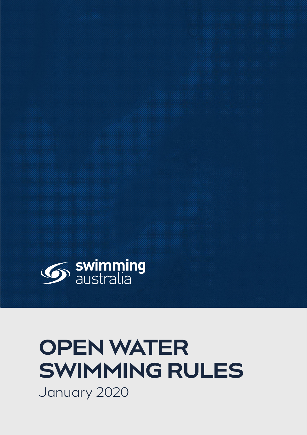

# **OPEN WATER SWIMMING RULES** January 2020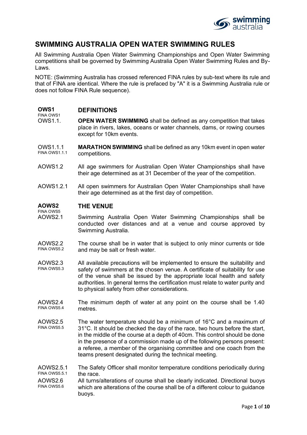

## **SWIMMING AUSTRALIA OPEN WATER SWIMMING RULES**

All Swimming Australia Open Water Swimming Championships and Open Water Swimming competitions shall be governed by Swimming Australia Open Water Swimming Rules and By-Laws.

NOTE: (Swimming Australia has crossed referenced FINA rules by sub-text where its rule and that of FINA are identical. Where the rule is prefaced by "A" it is a Swimming Australia rule or does not follow FINA Rule sequence).

#### **OWS1** FINA OWS1 **DEFINITIONS**

- OWS1.1. **OPEN WATER SWIMMING** shall be defined as any competition that takes place in rivers, lakes, oceans or water channels, dams, or rowing courses except for 10km events.
- OWS<sub>1</sub>11 FINA OWS1.1.1 **MARATHON SWIMMING** shall be defined as any 10km event in open water competitions.
- AOWS1.2 All age swimmers for Australian Open Water Championships shall have their age determined as at 31 December of the year of the competition.
- AOWS1.2.1 All open swimmers for Australian Open Water Championships shall have their age determined as at the first day of competition.

#### **AOWS2** FINA OWS5 **THE VENUE**

- AOWS2.1 Swimming Australia Open Water Swimming Championships shall be conducted over distances and at a venue and course approved by Swimming Australia.
- AOWS2.2 FINA OWS5.2 The course shall be in water that is subject to only minor currents or tide and may be salt or fresh water.
- AOWS2.3 FINA OWS5.3 All available precautions will be implemented to ensure the suitability and safety of swimmers at the chosen venue. A certificate of suitability for use of the venue shall be issued by the appropriate local health and safety authorities. In general terms the certification must relate to water purity and to physical safety from other considerations.
- AOWS2.4 FINA OWS5.4 The minimum depth of water at any point on the course shall be 1.40 metres.
- AOWS2.5 FINA OWS5.5 The water temperature should be a minimum of 16°C and a maximum of 31°C. It should be checked the day of the race, two hours before the start, in the middle of the course at a depth of 40cm. This control should be done in the presence of a commission made up of the following persons present: a referee, a member of the organising committee and one coach from the teams present designated during the technical meeting.
- AOWS2.5.1 FINA OWS5.5.1 The Safety Officer shall monitor temperature conditions periodically during the race.
- AOWS2.6 FINA OWS5.6 All turns/alterations of course shall be clearly indicated. Directional buoys which are alterations of the course shall be of a different colour to guidance buoys.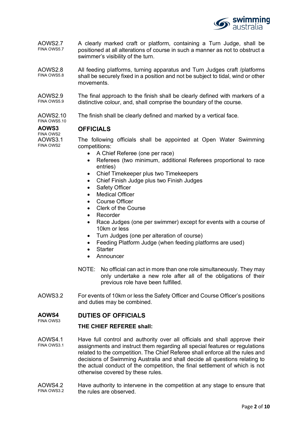

- AOWS2.7 FINA OWS5.7 A clearly marked craft or platform, containing a Turn Judge, shall be positioned at all alterations of course in such a manner as not to obstruct a swimmer's visibility of the turn.
- AOWS2.8 FINA OWS5.8 All feeding platforms, turning apparatus and Turn Judges craft /platforms shall be securely fixed in a position and not be subject to tidal, wind or other movements.

AOWS2.9 FINA OWS5.9 The final approach to the finish shall be clearly defined with markers of a distinctive colour, and, shall comprise the boundary of the course.

AOWS2.10 FINA OWS5.10 The finish shall be clearly defined and marked by a vertical face.

#### **AOWS3 OFFICIALS**

FINA OWS2 AOWS3.1 FINA OWS2

The following officials shall be appointed at Open Water Swimming competitions:

- A Chief Referee (one per race)
- Referees (two minimum, additional Referees proportional to race entries)
- Chief Timekeeper plus two Timekeepers
- Chief Finish Judge plus two Finish Judges
- Safety Officer
- Medical Officer
- Course Officer
- Clerk of the Course
- Recorder
- Race Judges (one per swimmer) except for events with a course of 10km or less
- Turn Judges (one per alteration of course)
- Feeding Platform Judge (when feeding platforms are used)
- Starter
- **Announcer**
- NOTE: No official can act in more than one role simultaneously. They may only undertake a new role after all of the obligations of their previous role have been fulfilled.
- AOWS3.2 For events of 10km or less the Safety Officer and Course Officer's positions and duties may be combined.

#### **AOWS4** FINA OWS3 **DUTIES OF OFFICIALS**

## **THE CHIEF REFEREE shall:**

- AOWS4.1 FINA OWS3.1 Have full control and authority over all officials and shall approve their assignments and instruct them regarding all special features or regulations related to the competition. The Chief Referee shall enforce all the rules and decisions of Swimming Australia and shall decide all questions relating to the actual conduct of the competition, the final settlement of which is not otherwise covered by these rules.
- AOWS4.2 FINA OWS3.2 Have authority to intervene in the competition at any stage to ensure that the rules are observed.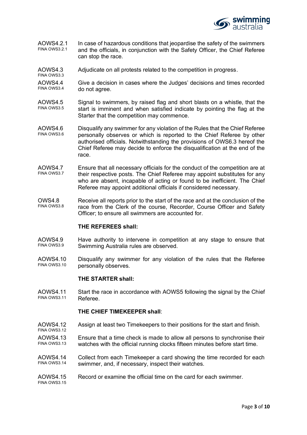

- AOWS4.2.1 FINA OWS3.2.1 In case of hazardous conditions that jeopardise the safety of the swimmers and the officials, in conjunction with the Safety Officer, the Chief Referee can stop the race.
- AOWS4.3 Adjudicate on all protests related to the competition in progress.
- AOWS4.4 FINA OWS3.4 Give a decision in cases where the Judges' decisions and times recorded do not agree.
- AOWS4.5 FINA OWS3.5 Signal to swimmers, by raised flag and short blasts on a whistle, that the start is imminent and when satisfied indicate by pointing the flag at the Starter that the competition may commence.
- AOWS4.6 FINA OWS3.6 Disqualify any swimmer for any violation of the Rules that the Chief Referee personally observes or which is reported to the Chief Referee by other authorised officials. Notwithstanding the provisions of OWS6.3 hereof the Chief Referee may decide to enforce the disqualification at the end of the race.
- AOWS4.7 FINA OWS3.7 Ensure that all necessary officials for the conduct of the competition are at their respective posts. The Chief Referee may appoint substitutes for any who are absent, incapable of acting or found to be inefficient. The Chief Referee may appoint additional officials if considered necessary.
- OWS4.8 FINA OWS3.8 Receive all reports prior to the start of the race and at the conclusion of the race from the Clerk of the course, Recorder, Course Officer and Safety Officer; to ensure all swimmers are accounted for.

## **THE REFEREES shall:**

FINA OWS3.3

- AOWS4.9 FINA OWS3.9 Have authority to intervene in competition at any stage to ensure that Swimming Australia rules are observed.
- AOWS4.10 FINA OWS3.10 Disqualify any swimmer for any violation of the rules that the Referee personally observes.

## **THE STARTER shall:**

AOWS4.11 FINA OWS3.11 Start the race in accordance with AOWS5 following the signal by the Chief Referee.

## **THE CHIEF TIMEKEEPER shall**:

- AOWS4.12 FINA OWS3.12 Assign at least two Timekeepers to their positions for the start and finish.
- AOWS4.13 FINA OWS3.13 Ensure that a time check is made to allow all persons to synchronise their watches with the official running clocks fifteen minutes before start time.
- AOWS4.14 FINA OWS3.14 Collect from each Timekeeper a card showing the time recorded for each swimmer, and, if necessary, inspect their watches.
- AOWS4.15 FINA OWS3.15 Record or examine the official time on the card for each swimmer.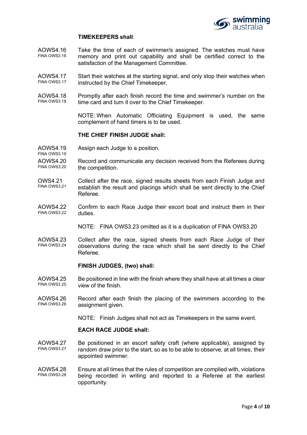

## **TIMEKEEPERS shall**:

- AOWS4.16 FINA OWS3.16 Take the time of each of swimmer/s assigned. The watches must have memory and print out capability and shall be certified correct to the satisfaction of the Management Committee.
- AOWS4.17 FINA OWS3.17 Start their watches at the starting signal, and only stop their watches when instructed by the Chief Timekeeper.
- AOWS4.18 FINA OWS3.18 Promptly after each finish record the time and swimmer's number on the time card and turn it over to the Chief Timekeeper.

NOTE: When Automatic Officiating Equipment is used, the same complement of hand timers is to be used.

#### **THE CHIEF FINISH JUDGE shall:**

- AOWS4.19 FINA OWS3.19 Assign each Judge to a position.
- AOWS4.20 FINA OWS3.20 Record and communicate any decision received from the Referees during the competition.
- OWS4.21 FINA OWS3.21 Collect after the race, signed results sheets from each Finish Judge and establish the result and placings which shall be sent directly to the Chief Referee.
- AOWS4.22 FINA OWS3.22 Confirm to each Race Judge their escort boat and instruct them in their duties.

NOTE: FINA OWS3.23 omitted as it is a duplication of FINA OWS3.20

AOWS4.23 FINA OWS3.24 Collect after the race, signed sheets from each Race Judge of their observations during the race which shall be sent directly to the Chief Referee.

#### **FINISH JUDGES, (two) shall:**

- AOWS4.25 FINA OWS3.25 Be positioned in line with the finish where they shall have at all times a clear view of the finish.
- AOWS4.26 FINA OWS3.26 Record after each finish the placing of the swimmers according to the assignment given.

NOTE: Finish Judges shall not act as Timekeepers in the same event.

## **EACH RACE JUDGE shall:**

- AOWS4.27 FINA OWS3.27 Be positioned in an escort safety craft (where applicable), assigned by random draw prior to the start, so as to be able to observe, at all times, their appointed swimmer.
- AOWS4.28 FINA OWS3.28 Ensure at all times that the rules of competition are complied with, violations being recorded in writing and reported to a Referee at the earliest opportunity.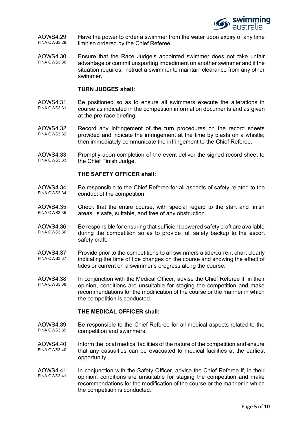

AOWS4.29 FINA OWS3.29 Have the power to order a swimmer from the water upon expiry of any time limit so ordered by the Chief Referee.

AOWS4.30 FINA OWS3.30 Ensure that the Race Judge's appointed swimmer does not take unfair advantage or commit unsporting impediment on another swimmer and if the situation requires, instruct a swimmer to maintain clearance from any other swimmer.

## **TURN JUDGES shall:**

- AOWS4.31 FINA OWS3.31 Be positioned so as to ensure all swimmers execute the alterations in course as indicated in the competition information documents and as given at the pre-race briefing.
- AOWS4.32 FINA OWS3.32 Record any infringement of the turn procedures on the record sheets provided and indicate the infringement at the time by blasts on a whistle; then immediately communicate the infringement to the Chief Referee.
- AOWS4.33 FINA OWS3.33 Promptly upon completion of the event deliver the signed record sheet to the Chief Finish Judge.

## **THE SAFETY OFFICER shall:**

- AOWS4.34 FINA OWS3.34 Be responsible to the Chief Referee for all aspects of safety related to the conduct of the competition.
- AOWS4.35 FINA OWS3.35 Check that the entire course, with special regard to the start and finish areas, is safe, suitable, and free of any obstruction.
- AOWS4.36 FINA OWS3.36 Be responsible for ensuring that sufficient powered safety craft are available during the competition so as to provide full safety backup to the escort safety craft.
- AOWS4.37 FINA OWS3.37 Provide prior to the competitions to all swimmers a tide/current chart clearly indicating the time of tide changes on the course and showing the effect of tides or current on a swimmer's progress along the course.
- AOWS4.38 FINA OWS3.38 In conjunction with the Medical Officer, advise the Chief Referee if, in their opinion, conditions are unsuitable for staging the competition and make recommendations for the modification of the course or the manner in which the competition is conducted.

## **THE MEDICAL OFFICER shall:**

- AOWS4.39 FINA OWS3.39 Be responsible to the Chief Referee for all medical aspects related to the competition and swimmers.
- AOWS4.40 FINA OWS3.40 Inform the local medical facilities of the nature of the competition and ensure that any casualties can be evacuated to medical facilities at the earliest opportunity.
- AOWS4.41 FINA OWS3.41 In conjunction with the Safety Officer, advise the Chief Referee if, in their opinion, conditions are unsuitable for staging the competition and make recommendations for the modification of the course or the manner in which the competition is conducted.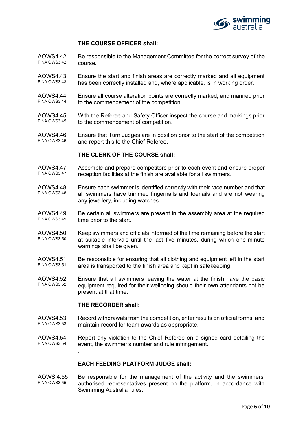

## **THE COURSE OFFICER shall:**

- AOWS4.42 FINA OWS3.42 Be responsible to the Management Committee for the correct survey of the course.
- AOWS4.43 FINA OWS3.43 Ensure the start and finish areas are correctly marked and all equipment has been correctly installed and, where applicable, is in working order.
- AOWS4.44 FINA OWS3.44 Ensure all course alteration points are correctly marked, and manned prior to the commencement of the competition.
- AOWS4.45 FINA OWS3.45 With the Referee and Safety Officer inspect the course and markings prior to the commencement of competition.
- AOWS4.46 FINA OWS3.46 Ensure that Turn Judges are in position prior to the start of the competition and report this to the Chief Referee.

## **THE CLERK OF THE COURSE shall:**

- AOWS4.47 FINA OWS3.47 Assemble and prepare competitors prior to each event and ensure proper reception facilities at the finish are available for all swimmers.
- AOWS4.48 FINA OWS3.48 Ensure each swimmer is identified correctly with their race number and that all swimmers have trimmed fingernails and toenails and are not wearing any jewellery, including watches.
- AOWS4.49 FINA OWS3.49 Be certain all swimmers are present in the assembly area at the required time prior to the start.
- AOWS4.50 FINA OWS3.50 Keep swimmers and officials informed of the time remaining before the start at suitable intervals until the last five minutes, during which one-minute warnings shall be given.
- AOWS4.51 FINA OWS3.51 Be responsible for ensuring that all clothing and equipment left in the start area is transported to the finish area and kept in safekeeping.
- AOWS4.52 FINA OWS3.52 Ensure that all swimmers leaving the water at the finish have the basic equipment required for their wellbeing should their own attendants not be present at that time.

## **THE RECORDER shall:**

.

- AOWS4.53 FINA OWS3.53 Record withdrawals from the competition, enter results on official forms, and maintain record for team awards as appropriate.
- AOWS4.54 FINA OWS3.54 Report any violation to the Chief Referee on a signed card detailing the event, the swimmer's number and rule infringement.

## **EACH FEEDING PLATFORM JUDGE shall:**

AOWS 4.55 FINA OWS3.55 Be responsible for the management of the activity and the swimmers' authorised representatives present on the platform, in accordance with Swimming Australia rules.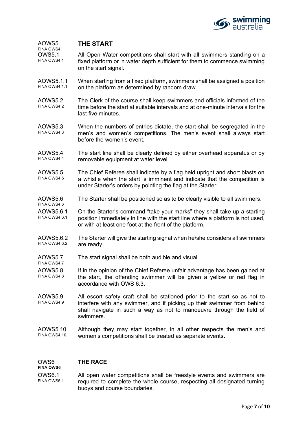

#### AOWS5 FINA OWS4 **THE START**

OWS5.1 FINA OWS4.1 All Open Water competitions shall start with all swimmers standing on a fixed platform or in water depth sufficient for them to commence swimming on the start signal.

- AOWS5.1.1 FINA OWS4 11 When starting from a fixed platform, swimmers shall be assigned a position on the platform as determined by random draw.
- AOWS5.2 FINA OWS4.2 The Clerk of the course shall keep swimmers and officials informed of the time before the start at suitable intervals and at one-minute intervals for the last five minutes.
- AOWS5.3 FINA OWS4.3 When the numbers of entries dictate, the start shall be segregated in the men's and women's competitions. The men's event shall always start before the women's event.
- AOWS5.4 FINA OWS4.4 The start line shall be clearly defined by either overhead apparatus or by removable equipment at water level.
- AOWS5.5 FINA OWS4.5 The Chief Referee shall indicate by a flag held upright and short blasts on a whistle when the start is imminent and indicate that the competition is under Starter's orders by pointing the flag at the Starter.
- AOWS5.6 The Starter shall be positioned so as to be clearly visible to all swimmers.
- AOWS5.6.1 FINA OWS4.6.1 On the Starter's command "take your marks" they shall take up a starting position immediately in line with the start line where a platform is not used, or with at least one foot at the front of the platform.
- AOWS5.6.2 FINA OWS4 6.2 The Starter will give the starting signal when he/she considers all swimmers are ready.
- AOWS5.7 FINA OWS4.7 The start signal shall be both audible and visual.
- AOWS5.8 FINA OWS4.8 If in the opinion of the Chief Referee unfair advantage has been gained at the start, the offending swimmer will be given a yellow or red flag in accordance with OWS 6.3.
- AOWS5.9 FINA OWS4.9 All escort safety craft shall be stationed prior to the start so as not to interfere with any swimmer, and if picking up their swimmer from behind shall navigate in such a way as not to manoeuvre through the field of swimmers.
- AOWS5.10 FINA OWS4.10. Although they may start together, in all other respects the men's and women's competitions shall be treated as separate events.

#### OWS6 **FINA OWS6 THE RACE**

FINA OWS4.6

OWS6.1 FINA OWS6.1 All open water competitions shall be freestyle events and swimmers are required to complete the whole course, respecting all designated turning buoys and course boundaries.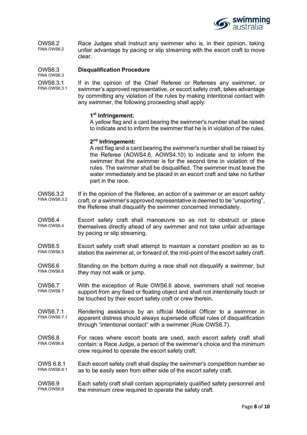

OWS6.2 FINA OWS6.2 Race Judges shall instruct any swimmer who is, in their opinion, taking unfair advantage by pacing or slip streaming with the escort craft to move clear.

#### OWS6.3 **Disqualification Procedure**

FINA OWS6.3

OWS6.3.1 FINA OWS6.3.1

If in the opinion of the Chief Referee or Referees any swimmer, or swimmer's approved representative, or escort safety craft, takes advantage by committing any violation of the rules by making intentional contact with any swimmer, the following proceeding shall apply:

## **1st Infringement:**

A yellow flag and a card bearing the swimmer's number shall be raised to indicate and to inform the swimmer that he is in violation of the rules.

#### **2nd Infringement:**

A red flag and a card bearing the swimmer's number shall be raised by the Referee (AOWS4.6, AOWS4.10) to indicate and to inform the swimmer that the swimmer is for the second time in violation of the rules. The swimmer shall be disqualified. The swimmer must leave the water immediately and be placed in an escort craft and take no further part in the race.

- OWS6.3.2 FINA OWS6.3.2 If in the opinion of the Referee, an action of a swimmer or an escort safety craft, or a swimmer's approved representative is deemed to be "unsporting", the Referee shall disqualify the swimmer concerned immediately.
- OWS6.4 FINA OWS6.4 Escort safety craft shall manoeuvre so as not to obstruct or place themselves directly ahead of any swimmer and not take unfair advantage by pacing or slip streaming.
- OWS6.5 FINA OWS6.5 Escort safety craft shall attempt to maintain a constant position so as to station the swimmer at, or forward of, the mid-point of the escort safety craft.
- OWS6.6 FINA OWS6.6 Standing on the bottom during a race shall not disqualify a swimmer, but they may not walk or jump.
- OWS6.7 FINA OWS6.7 With the exception of Rule OWS6.6 above, swimmers shall not receive support from any fixed or floating object and shall not intentionally touch or be touched by their escort safety craft or crew therein.
- OWS6.7.1 FINA OWS6.7.1 Rendering assistance by an official Medical Officer to a swimmer in apparent distress should always supersede official rules of disqualification through "intentional contact" with a swimmer (Rule OWS6.7).
- OWS6.8 FINA OWS6.8 For races where escort boats are used, each escort safety craft shall contain: a Race Judge, a person of the swimmer's choice and the minimum crew required to operate the escort safety craft.
- OWS 6.8.1 FINA OWS6.8.1 Each escort safety craft shall display the swimmer's competition number so as to be easily seen from either side of the escort safety craft.

#### OWS6.9 FINA OWS6.9 Each safety craft shall contain appropriately qualified safety personnel and the minimum crew required to operate the safety craft.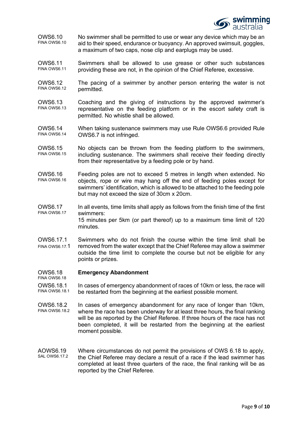

OWS6.10 FINA OWS6.10 No swimmer shall be permitted to use or wear any device which may be an aid to their speed, endurance or buoyancy. An approved swimsuit, goggles, a maximum of two caps, nose clip and earplugs may be used.

OWS6.11 FINA OWS6.11 Swimmers shall be allowed to use grease or other such substances providing these are not, in the opinion of the Chief Referee, excessive.

- OWS6.12 FINA OWS6.12 The pacing of a swimmer by another person entering the water is not permitted.
- OWS6.13 FINA OWS6.13 Coaching and the giving of instructions by the approved swimmer's representative on the feeding platform or in the escort safety craft is permitted. No whistle shall be allowed.
- OWS6.14 FINA OWS6.14 When taking sustenance swimmers may use Rule OWS6.6 provided Rule OWS6.7 is not infringed.
- OWS6.15 FINA OWS6.15 No objects can be thrown from the feeding platform to the swimmers, including sustenance. The swimmers shall receive their feeding directly from their representative by a feeding pole or by hand.
- OWS6.16 FINA OWS6.16 Feeding poles are not to exceed 5 metres in length when extended. No objects, rope or wire may hang off the end of feeding poles except for swimmers' identification, which is allowed to be attached to the feeding pole but may not exceed the size of 30cm x 20cm.
- OWS6.17 FINA OWS6.17 In all events, time limits shall apply as follows from the finish time of the first swimmers: 15 minutes per 5km (or part thereof) up to a maximum time limit of 120
- OWS6.17.1 FINA OWS6.17.1 Swimmers who do not finish the course within the time limit shall be removed from the water except that the Chief Referee may allow a swimmer outside the time limit to complete the course but not be eligible for any points or prizes.

#### OWS6.18 FINA OWS6.18 **Emergency Abandonment**

minutes.

- OWS6.18.1 FINA OWS6.18.1 In cases of emergency abandonment of races of 10km or less, the race will be restarted from the beginning at the earliest possible moment.
- OWS6.18.2 FINA OWS6.18.2 In cases of emergency abandonment for any race of longer than 10km, where the race has been underway for at least three hours, the final ranking will be as reported by the Chief Referee. If three hours of the race has not been completed, it will be restarted from the beginning at the earliest moment possible.
- AOWS6.19 SAL OWS6 17.2 Where circumstances do not permit the provisions of OWS 6.18 to apply, the Chief Referee may declare a result of a race if the lead swimmer has completed at least three quarters of the race, the final ranking will be as reported by the Chief Referee.